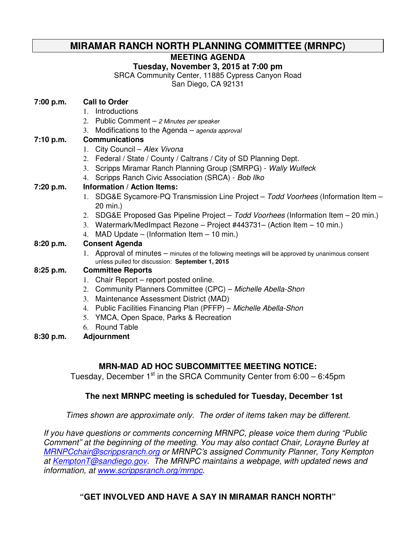## **MIRAMAR RANCH NORTH PLANNING COMMITTEE (MRNPC)**

#### **MEETING AGENDA**

#### **Tuesday, November 3, 2015 at 7:00 pm**

SRCA Community Center, 11885 Cypress Canyon Road

San Diego, CA 92131

| 7:00 p.m. | <b>Call to Order</b>                                                                                                                                |
|-----------|-----------------------------------------------------------------------------------------------------------------------------------------------------|
|           | Introductions<br>$1_{-}$                                                                                                                            |
|           | 2. Public Comment - 2 Minutes per speaker                                                                                                           |
|           | 3. Modifications to the Agenda - agenda approval                                                                                                    |
| 7:10 p.m. | <b>Communications</b>                                                                                                                               |
|           | 1. City Council - Alex Vivona                                                                                                                       |
|           | 2. Federal / State / County / Caltrans / City of SD Planning Dept.                                                                                  |
|           | 3. Scripps Miramar Ranch Planning Group (SMRPG) - Wally Wulfeck                                                                                     |
|           | 4. Scripps Ranch Civic Association (SRCA) - Bob Ilko                                                                                                |
| 7:20 p.m. | <b>Information / Action Items:</b>                                                                                                                  |
|           | 1. SDG&E Sycamore-PQ Transmission Line Project – Todd Voorhees (Information Item –                                                                  |
|           | 20 min.)                                                                                                                                            |
|           | 2. SDG&E Proposed Gas Pipeline Project - Todd Voorhees (Information Item - 20 min.)                                                                 |
|           | 3. Watermark/MedImpact Rezone - Project #443731 - (Action Item - 10 min.)                                                                           |
|           | 4. MAD Update – (Information Item – 10 min.)                                                                                                        |
| 8:20 p.m. | <b>Consent Agenda</b>                                                                                                                               |
|           | 1. Approval of minutes – minutes of the following meetings will be approved by unanimous consent<br>unless pulled for discussion: September 1, 2015 |
| 8:25 p.m. | <b>Committee Reports</b>                                                                                                                            |
|           | 1. Chair Report – report posted online.                                                                                                             |
|           | 2. Community Planners Committee (CPC) - Michelle Abella-Shon                                                                                        |
|           | 3. Maintenance Assessment District (MAD)                                                                                                            |
|           | 4. Public Facilities Financing Plan (PFFP) - Michelle Abella-Shon                                                                                   |
|           | 5. YMCA, Open Space, Parks & Recreation                                                                                                             |
|           | 6. Round Table                                                                                                                                      |
| 8:30 p.m. | <b>Adjournment</b>                                                                                                                                  |

## **MRN-MAD AD HOC SUBCOMMITTEE MEETING NOTICE:**

Tuesday, December  $1<sup>st</sup>$  in the SRCA Community Center from 6:00 – 6:45pm

#### **The next MRNPC meeting is scheduled for Tuesday, December 1st**

Times shown are approximate only. The order of items taken may be different.

If you have questions or comments concerning MRNPC, please voice them during "Public Comment" at the beginning of the meeting. You may also contact Chair, Lorayne Burley at MRNPCchair@scrippsranch.org or MRNPC's assigned Community Planner, Tony Kempton at KemptonT@sandiego.gov. The MRNPC maintains a webpage, with updated news and information, at www.scrippsranch.org/mrnpc.

## **"GET INVOLVED AND HAVE A SAY IN MIRAMAR RANCH NORTH"**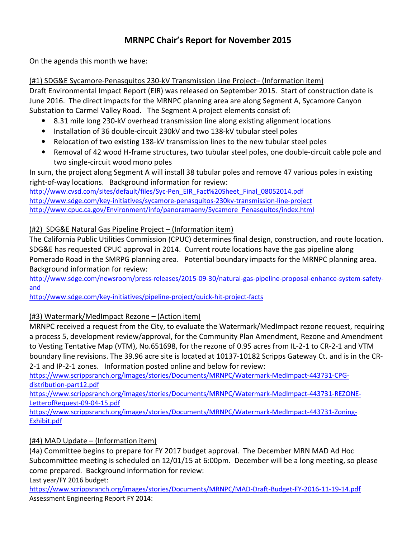## MRNPC Chair's Report for November 2015

On the agenda this month we have:

#### (#1) SDG&E Sycamore-Penasquitos 230-kV Transmission Line Project– (Information item)

Draft Environmental Impact Report (EIR) was released on September 2015. Start of construction date is June 2016. The direct impacts for the MRNPC planning area are along Segment A, Sycamore Canyon Substation to Carmel Valley Road. The Segment A project elements consist of:

- 8.31 mile long 230-kV overhead transmission line along existing alignment locations
- Installation of 36 double-circuit 230kV and two 138-kV tubular steel poles
- Relocation of two existing 138-kV transmission lines to the new tubular steel poles
- Removal of 42 wood H-frame structures, two tubular steel poles, one double-circuit cable pole and two single-circuit wood mono poles

In sum, the project along Segment A will install 38 tubular poles and remove 47 various poles in existing right-of-way locations. Background information for review:

http://www.cvsd.com/sites/default/files/Syc-Pen\_EIR\_Fact%20Sheet\_Final\_08052014.pdf http://www.sdge.com/key-initiatives/sycamore-penasquitos-230kv-transmission-line-project http://www.cpuc.ca.gov/Environment/info/panoramaenv/Sycamore\_Penasquitos/index.html

#### (#2) SDG&E Natural Gas Pipeline Project – (Information item)

The California Public Utilities Commission (CPUC) determines final design, construction, and route location. SDG&E has requested CPUC approval in 2014. Current route locations have the gas pipeline along Pomerado Road in the SMRPG planning area. Potential boundary impacts for the MRNPC planning area. Background information for review:

http://www.sdge.com/newsroom/press-releases/2015-09-30/natural-gas-pipeline-proposal-enhance-system-safetyand

http://www.sdge.com/key-initiatives/pipeline-project/quick-hit-project-facts

## (#3) Watermark/MedImpact Rezone – (Action item)

MRNPC received a request from the City, to evaluate the Watermark/MedImpact rezone request, requiring a process 5, development review/approval, for the Community Plan Amendment, Rezone and Amendment to Vesting Tentative Map (VTM), No.651698, for the rezone of 0.95 acres from IL-2-1 to CR-2-1 and VTM boundary line revisions. The 39.96 acre site is located at 10137-10182 Scripps Gateway Ct. and is in the CR-2-1 and IP-2-1 zones. Information posted online and below for review:

https://www.scrippsranch.org/images/stories/Documents/MRNPC/Watermark-MedImpact-443731-CPGdistribution-part12.pdf

https://www.scrippsranch.org/images/stories/Documents/MRNPC/Watermark-MedImpact-443731-REZONE-LetterofRequest-09-04-15.pdf

https://www.scrippsranch.org/images/stories/Documents/MRNPC/Watermark-MedImpact-443731-Zoning-Exhibit.pdf

#### (#4) MAD Update – (Information item)

(4a) Committee begins to prepare for FY 2017 budget approval. The December MRN MAD Ad Hoc Subcommittee meeting is scheduled on 12/01/15 at 6:00pm. December will be a long meeting, so please come prepared. Background information for review:

Last year/FY 2016 budget:

https://www.scrippsranch.org/images/stories/Documents/MRNPC/MAD-Draft-Budget-FY-2016-11-19-14.pdf Assessment Engineering Report FY 2014: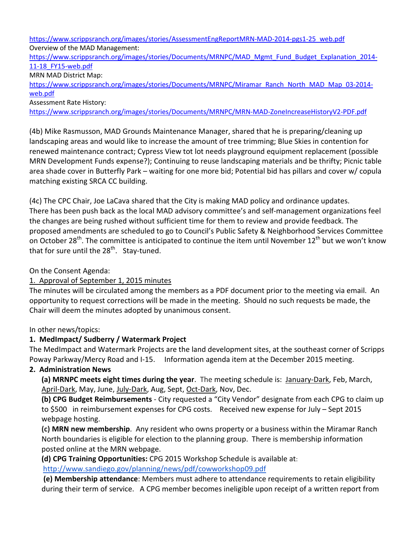https://www.scrippsranch.org/images/stories/AssessmentEngReportMRN-MAD-2014-pgs1-25\_web.pdf Overview of the MAD Management:

https://www.scrippsranch.org/images/stories/Documents/MRNPC/MAD\_Mgmt\_Fund\_Budget\_Explanation\_2014-11-18\_FY15-web.pdf

MRN MAD District Map:

https://www.scrippsranch.org/images/stories/Documents/MRNPC/Miramar\_Ranch\_North\_MAD\_Map\_03-2014web.pdf

Assessment Rate History:

https://www.scrippsranch.org/images/stories/Documents/MRNPC/MRN-MAD-ZoneIncreaseHistoryV2-PDF.pdf

(4b) Mike Rasmusson, MAD Grounds Maintenance Manager, shared that he is preparing/cleaning up landscaping areas and would like to increase the amount of tree trimming; Blue Skies in contention for renewed maintenance contract; Cypress View tot lot needs playground equipment replacement (possible MRN Development Funds expense?); Continuing to reuse landscaping materials and be thrifty; Picnic table area shade cover in Butterfly Park – waiting for one more bid; Potential bid has pillars and cover w/ copula matching existing SRCA CC building.

(4c) The CPC Chair, Joe LaCava shared that the City is making MAD policy and ordinance updates. There has been push back as the local MAD advisory committee's and self-management organizations feel the changes are being rushed without sufficient time for them to review and provide feedback. The proposed amendments are scheduled to go to Council's Public Safety & Neighborhood Services Committee on October 28<sup>th</sup>. The committee is anticipated to continue the item until November 12<sup>th</sup> but we won't know that for sure until the  $28<sup>th</sup>$ . Stay-tuned.

On the Consent Agenda:

#### 1. Approval of September 1, 2015 minutes

The minutes will be circulated among the members as a PDF document prior to the meeting via email. An opportunity to request corrections will be made in the meeting. Should no such requests be made, the Chair will deem the minutes adopted by unanimous consent.

In other news/topics:

#### 1. MedImpact/ Sudberry / Watermark Project

The MedImpact and Watermark Projects are the land development sites, at the southeast corner of Scripps Poway Parkway/Mercy Road and I-15. Information agenda item at the December 2015 meeting.

#### 2. Administration News

(a) MRNPC meets eight times during the year. The meeting schedule is: January-Dark, Feb, March, April-Dark, May, June, July-Dark, Aug, Sept, Oct-Dark, Nov, Dec.

(b) CPG Budget Reimbursements - City requested a "City Vendor" designate from each CPG to claim up to \$500 in reimbursement expenses for CPG costs. Received new expense for July – Sept 2015 webpage hosting.

(c) MRN new membership. Any resident who owns property or a business within the Miramar Ranch North boundaries is eligible for election to the planning group. There is membership information posted online at the MRN webpage.

(d) CPG Training Opportunities: CPG 2015 Workshop Schedule is available at:

http://www.sandiego.gov/planning/news/pdf/cowworkshop09.pdf

 (e) Membership attendance: Members must adhere to attendance requirements to retain eligibility during their term of service. A CPG member becomes ineligible upon receipt of a written report from